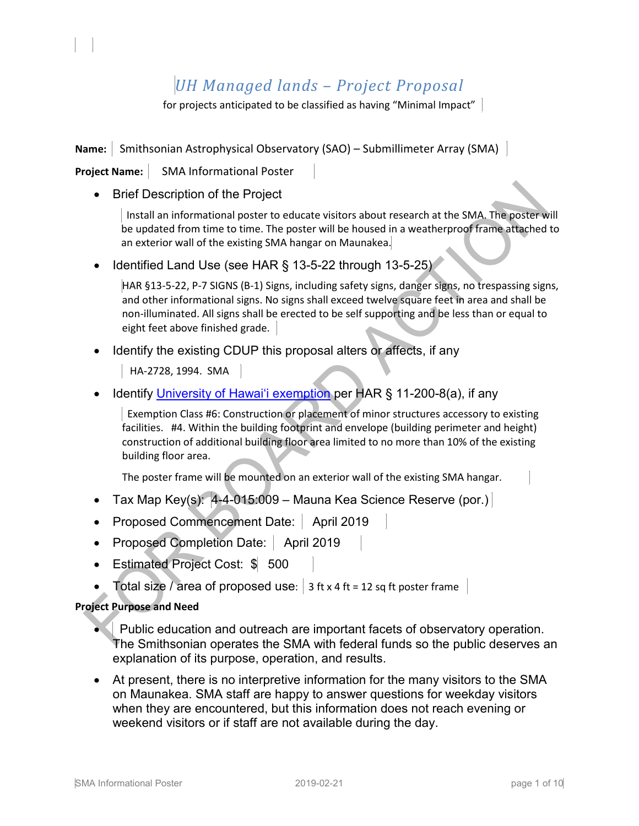# *UH Managed lands – Project Proposal*

for projects anticipated to be classified as having "Minimal Impact"

**Name:** Smithsonian Astrophysical Observatory (SAO) – Submillimeter Array (SMA)

**Project Name:** | SMA Informational Poster

l,

• Brief Description of the Project

Install an informational poster to educate visitors about research at the SMA. The poster will be updated from time to time. The poster will be housed in a weatherproof frame attached to an exterior wall of the existing SMA hangar on Maunakea.

• Identified Land Use (see HAR § 13-5-22 through 13-5-25)

HAR §13-5-22, P-7 SIGNS (B-1) Signs, including safety signs, danger signs, no trespassing signs, and other informational signs. No signs shall exceed twelve square feet in area and shall be non-illuminated. All signs shall be erected to be self supporting and be less than or equal to eight feet above finished grade.

• Identify the existing CDUP this proposal alters or affects, if any

HA-2728, 1994. SMA

• Identify University of Hawai'i exemption per HAR § 11-200-8(a), if any

Exemption Class #6: Construction or placement of minor structures accessory to existing facilities. #4. Within the building footprint and envelope (building perimeter and height) construction of additional building floor area limited to no more than 10% of the existing building floor area.

The poster frame will be mounted on an exterior wall of the existing SMA hangar.

- Tax Map Key(s): 4-4-015:009 Mauna Kea Science Reserve (por.)
- Proposed Commencement Date: | April 2019
- Proposed Completion Date: | April 2019
- Estimated Project Cost: \$ 500
- Total size / area of proposed use:  $\vert$  3 ft x 4 ft = 12 sq ft poster frame

## **Project Purpose and Need**

- Public education and outreach are important facets of observatory operation. The Smithsonian operates the SMA with federal funds so the public deserves an explanation of its purpose, operation, and results.
- At present, there is no interpretive information for the many visitors to the SMA on Maunakea. SMA staff are happy to answer questions for weekday visitors when they are encountered, but this information does not reach evening or weekend visitors or if staff are not available during the day.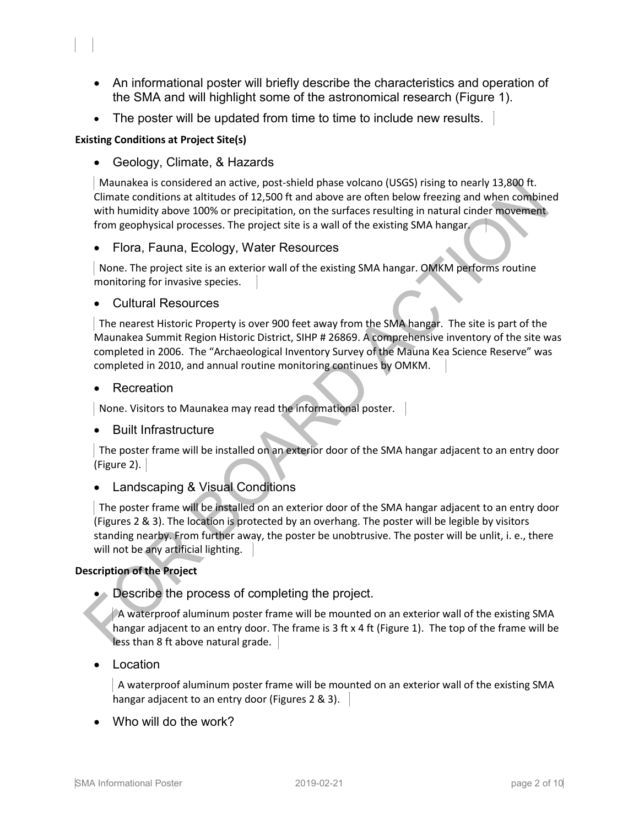- An informational poster will briefly describe the characteristics and operation of the SMA and will highlight some of the astronomical research (Figure 1).
- The poster will be updated from time to time to include new results.

## **Existing Conditions at Project Site(s)**

l,

• Geology, Climate, & Hazards

 Maunakea is considered an active, post-shield phase volcano (USGS) rising to nearly 13,800 ft. Climate conditions at altitudes of 12,500 ft and above are often below freezing and when combined with humidity above 100% or precipitation, on the surfaces resulting in natural cinder movement from geophysical processes. The project site is a wall of the existing SMA hangar.

## • Flora, Fauna, Ecology, Water Resources

 None. The project site is an exterior wall of the existing SMA hangar. OMKM performs routine monitoring for invasive species.

## • Cultural Resources

 The nearest Historic Property is over 900 feet away from the SMA hangar. The site is part of the Maunakea Summit Region Historic District, SIHP # 26869. A comprehensive inventory of the site was completed in 2006. The "Archaeological Inventory Survey of the Mauna Kea Science Reserve" was completed in 2010, and annual routine monitoring continues by OMKM.

## **Recreation**

None. Visitors to Maunakea may read the informational poster.

## • Built Infrastructure

 The poster frame will be installed on an exterior door of the SMA hangar adjacent to an entry door (Figure 2).  $|$ 

## • Landscaping & Visual Conditions

 The poster frame will be installed on an exterior door of the SMA hangar adjacent to an entry door (Figures 2 & 3). The location is protected by an overhang. The poster will be legible by visitors standing nearby. From further away, the poster be unobtrusive. The poster will be unlit, i. e., there will not be any artificial lighting.

## **Description of the Project**

• Describe the process of completing the project.

 A waterproof aluminum poster frame will be mounted on an exterior wall of the existing SMA hangar adjacent to an entry door. The frame is 3 ft x 4 ft (Figure 1). The top of the frame will be less than 8 ft above natural grade.

**Location** 

A waterproof aluminum poster frame will be mounted on an exterior wall of the existing SMA hangar adjacent to an entry door (Figures 2 & 3).

• Who will do the work?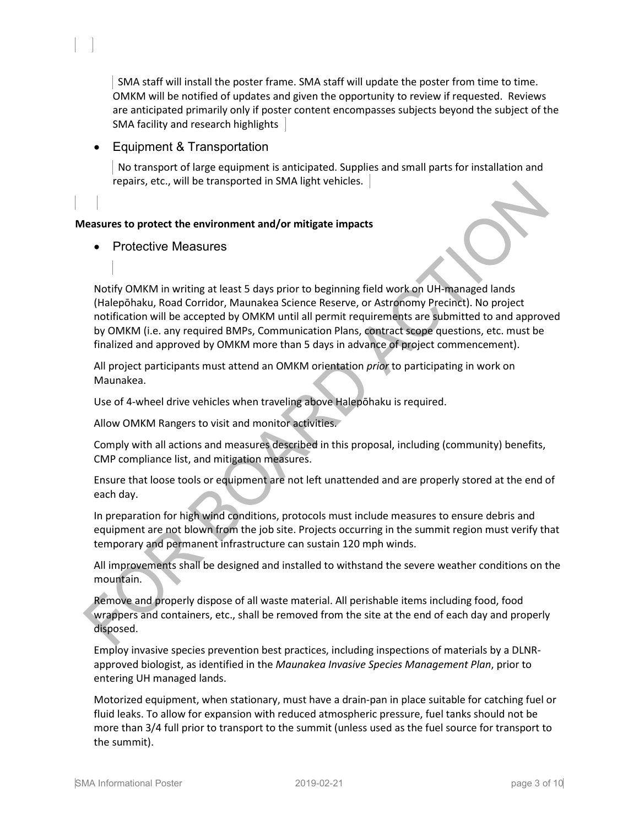SMA staff will install the poster frame. SMA staff will update the poster from time to time. OMKM will be notified of updates and given the opportunity to review if requested. Reviews are anticipated primarily only if poster content encompasses subjects beyond the subject of the SMA facility and research highlights

## • Equipment & Transportation

 No transport of large equipment is anticipated. Supplies and small parts for installation and repairs, etc., will be transported in SMA light vehicles.

## **Measures to protect the environment and/or mitigate impacts**

## • Protective Measures

l,

Notify OMKM in writing at least 5 days prior to beginning field work on UH-managed lands (Halepōhaku, Road Corridor, Maunakea Science Reserve, or Astronomy Precinct). No project notification will be accepted by OMKM until all permit requirements are submitted to and approved by OMKM (i.e. any required BMPs, Communication Plans, contract scope questions, etc. must be finalized and approved by OMKM more than 5 days in advance of project commencement).

All project participants must attend an OMKM orientation *prior* to participating in work on Maunakea.

Use of 4-wheel drive vehicles when traveling above Halepōhaku is required.

Allow OMKM Rangers to visit and monitor activities.

Comply with all actions and measures described in this proposal, including (community) benefits, CMP compliance list, and mitigation measures.

Ensure that loose tools or equipment are not left unattended and are properly stored at the end of each day.

In preparation for high wind conditions, protocols must include measures to ensure debris and equipment are not blown from the job site. Projects occurring in the summit region must verify that temporary and permanent infrastructure can sustain 120 mph winds.

All improvements shall be designed and installed to withstand the severe weather conditions on the mountain.

Remove and properly dispose of all waste material. All perishable items including food, food wrappers and containers, etc., shall be removed from the site at the end of each day and properly disposed.

Employ invasive species prevention best practices, including inspections of materials by a DLNRapproved biologist, as identified in the *Maunakea Invasive Species Management Plan*, prior to entering UH managed lands.

Motorized equipment, when stationary, must have a drain-pan in place suitable for catching fuel or fluid leaks. To allow for expansion with reduced atmospheric pressure, fuel tanks should not be more than 3/4 full prior to transport to the summit (unless used as the fuel source for transport to the summit).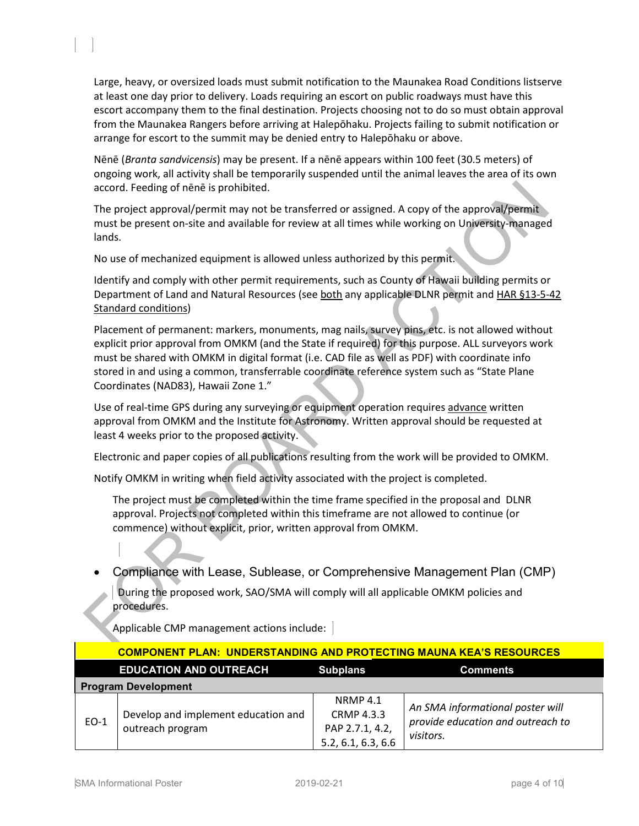Large, heavy, or oversized loads must submit notification to the Maunakea Road Conditions listserve at least one day prior to delivery. Loads requiring an escort on public roadways must have this escort accompany them to the final destination. Projects choosing not to do so must obtain approval from the Maunakea Rangers before arriving at Halepōhaku. Projects failing to submit notification or arrange for escort to the summit may be denied entry to Halepōhaku or above.

Nēnē (*Branta sandvicensis*) may be present. If a nēnē appears within 100 feet (30.5 meters) of ongoing work, all activity shall be temporarily suspended until the animal leaves the area of its own accord. Feeding of nēnē is prohibited.

The project approval/permit may not be transferred or assigned. A copy of the approval/permit must be present on-site and available for review at all times while working on University-managed lands.

No use of mechanized equipment is allowed unless authorized by this permit.

Identify and comply with other permit requirements, such as County of Hawaii building permits or Department of Land and Natural Resources (see both any applicable DLNR permit and HAR §13-5-42 Standard conditions)

Placement of permanent: markers, monuments, mag nails, survey pins, etc. is not allowed without explicit prior approval from OMKM (and the State if required) for this purpose. ALL surveyors work must be shared with OMKM in digital format (i.e. CAD file as well as PDF) with coordinate info stored in and using a common, transferrable coordinate reference system such as "State Plane Coordinates (NAD83), Hawaii Zone 1."

Use of real-time GPS during any surveying or equipment operation requires advance written approval from OMKM and the Institute for Astronomy. Written approval should be requested at least 4 weeks prior to the proposed activity.

Electronic and paper copies of all publications resulting from the work will be provided to OMKM.

Notify OMKM in writing when field activity associated with the project is completed.

The project must be completed within the time frame specified in the proposal and DLNR approval. Projects not completed within this timeframe are not allowed to continue (or commence) without explicit, prior, written approval from OMKM.

• Compliance with Lease, Sublease, or Comprehensive Management Plan (CMP)

 During the proposed work, SAO/SMA will comply will all applicable OMKM policies and procedures.

| <b>COMPONENT PLAN: UNDERSTANDING AND PROTECTING MAUNA KEA'S RESOURCES</b> |                                                         |                                                                               |                                                                                    |  |  |
|---------------------------------------------------------------------------|---------------------------------------------------------|-------------------------------------------------------------------------------|------------------------------------------------------------------------------------|--|--|
|                                                                           | <b>EDUCATION AND OUTREACH</b>                           | <b>Subplans</b>                                                               | <b>Comments</b>                                                                    |  |  |
| <b>Program Development</b>                                                |                                                         |                                                                               |                                                                                    |  |  |
| $EO-1$                                                                    | Develop and implement education and<br>outreach program | <b>NRMP 4.1</b><br><b>CRMP 4.3.3</b><br>PAP 2.7.1, 4.2,<br>5.2, 6.1, 6.3, 6.6 | An SMA informational poster will<br>provide education and outreach to<br>visitors. |  |  |

Applicable CMP management actions include:

l,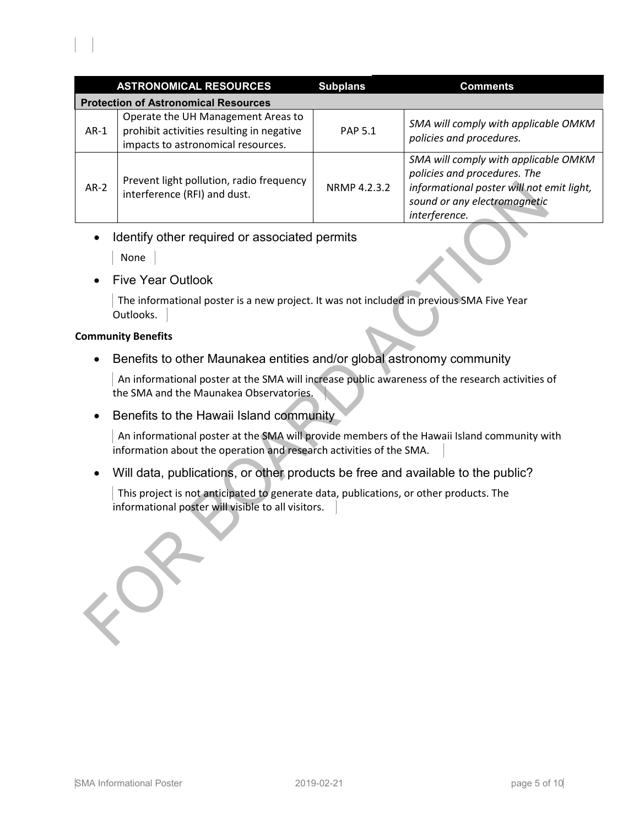|                                             | <b>ASTRONOMICAL RESOURCES</b>                                                                                         | <b>Subplans</b> | <b>Comments</b>                                                                                                                                                    |  |  |
|---------------------------------------------|-----------------------------------------------------------------------------------------------------------------------|-----------------|--------------------------------------------------------------------------------------------------------------------------------------------------------------------|--|--|
| <b>Protection of Astronomical Resources</b> |                                                                                                                       |                 |                                                                                                                                                                    |  |  |
| $AR-1$                                      | Operate the UH Management Areas to<br>prohibit activities resulting in negative<br>impacts to astronomical resources. | <b>PAP 5.1</b>  | SMA will comply with applicable OMKM<br>policies and procedures.                                                                                                   |  |  |
| $AR-2$                                      | Prevent light pollution, radio frequency<br>interference (RFI) and dust.                                              | NRMP 4.2.3.2    | SMA will comply with applicable OMKM<br>policies and procedures. The<br>informational poster will not emit light,<br>sound or any electromagnetic<br>interference. |  |  |

• Identify other required or associated permits

**None** 

l,

• Five Year Outlook

 The informational poster is a new project. It was not included in previous SMA Five Year Outlooks.

## **Community Benefits**

• Benefits to other Maunakea entities and/or global astronomy community

 An informational poster at the SMA will increase public awareness of the research activities of the SMA and the Maunakea Observatories.

• Benefits to the Hawaii Island community

 An informational poster at the SMA will provide members of the Hawaii Island community with information about the operation and research activities of the SMA.

• Will data, publications, or other products be free and available to the public?

 This project is not anticipated to generate data, publications, or other products. The informational poster will visible to all visitors.

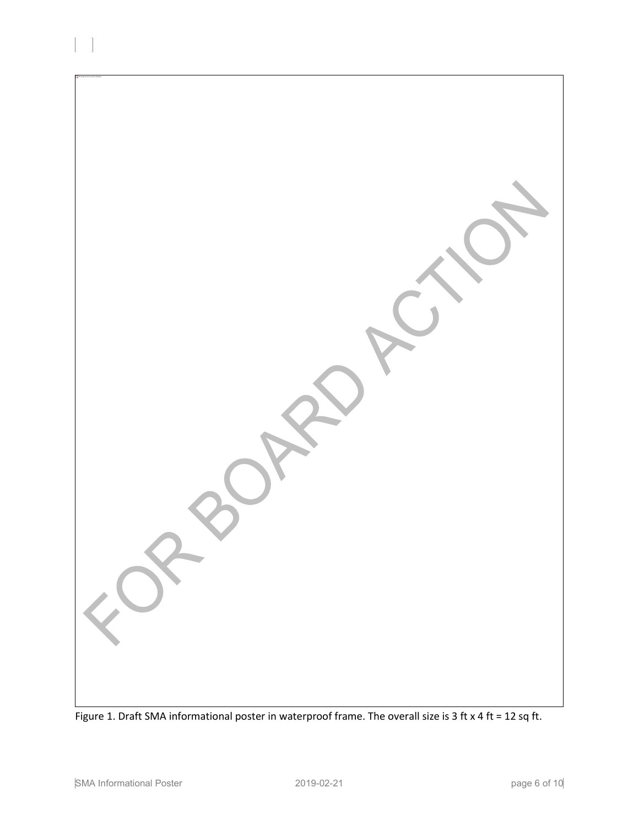

Figure 1. Draft SMA informational poster in waterproof frame. The overall size is 3 ft x 4 ft = 12 sq ft.

l,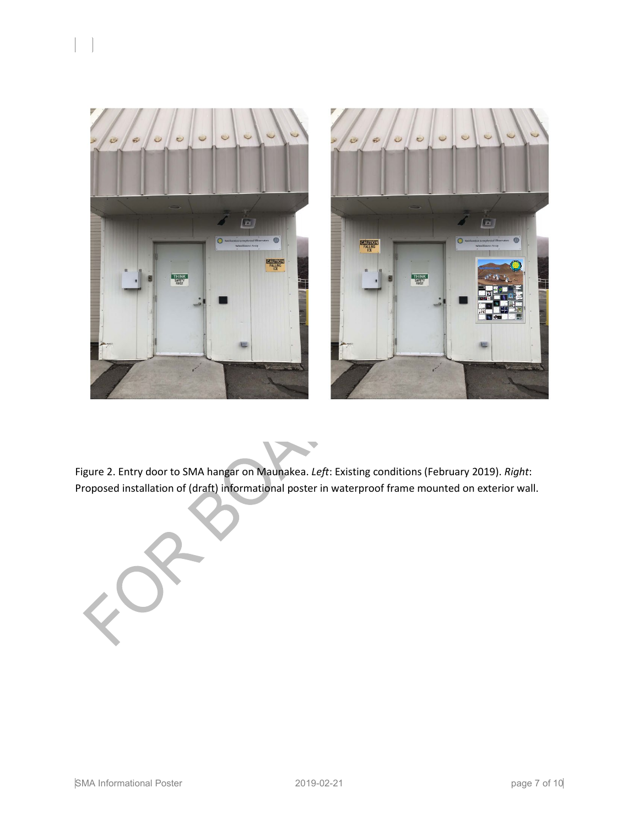



W

Figure 2. Entry door to SMA hangar on Maunakea. *Left*: Existing conditions (February 2019). *Right*: Proposed installation of (draft) informational poster in waterproof frame mounted on exterior wall.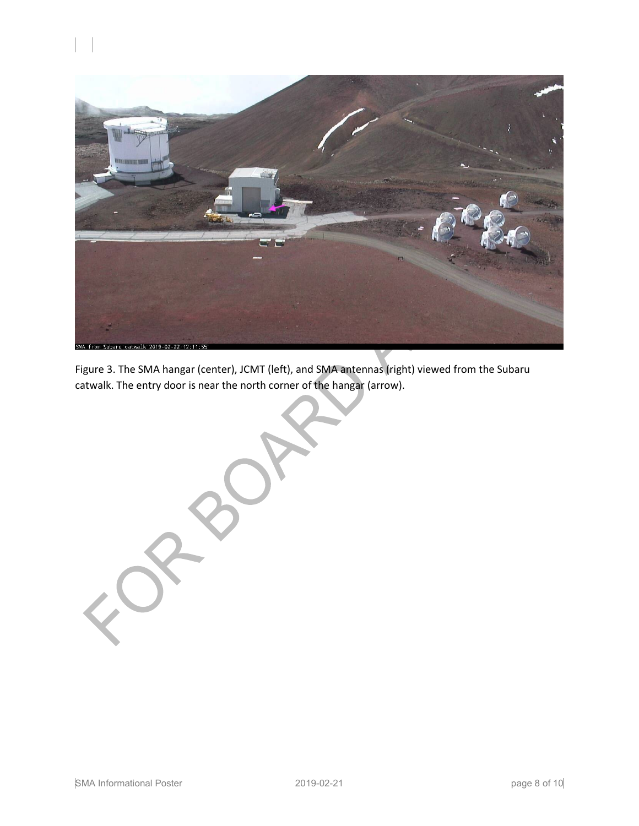



Figure 3. The SMA hangar (center), JCMT (left), and SMA antennas (right) viewed from the Subaru catwalk. The entry door is near the north corner of the hangar (arrow).

SMA Informational Poster 2019-02-21 2019-02-21 page 8 of 10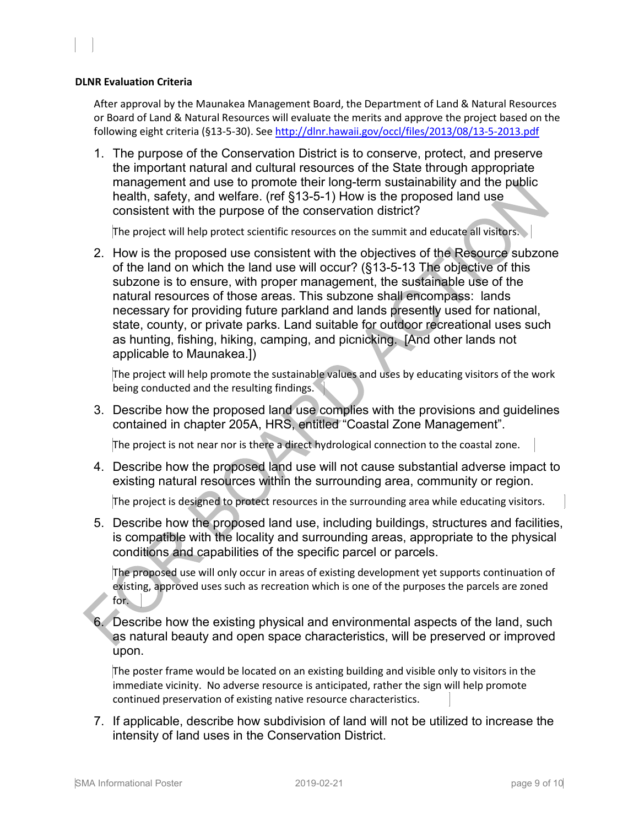#### **DLNR Evaluation Criteria**

l,

After approval by the Maunakea Management Board, the Department of Land & Natural Resources or Board of Land & Natural Resources will evaluate the merits and approve the project based on the following eight criteria (§13-5-30). See<http://dlnr.hawaii.gov/occl/files/2013/08/13-5-2013.pdf>

1. The purpose of the Conservation District is to conserve, protect, and preserve the important natural and cultural resources of the State through appropriate management and use to promote their long-term sustainability and the public health, safety, and welfare. (ref §13-5-1) How is the proposed land use consistent with the purpose of the conservation district?

The project will help protect scientific resources on the summit and educate all visitors.

2. How is the proposed use consistent with the objectives of the Resource subzone of the land on which the land use will occur? (§13-5-13 The objective of this subzone is to ensure, with proper management, the sustainable use of the natural resources of those areas. This subzone shall encompass: lands necessary for providing future parkland and lands presently used for national, state, county, or private parks. Land suitable for outdoor recreational uses such as hunting, fishing, hiking, camping, and picnicking. [And other lands not applicable to Maunakea.])

The project will help promote the sustainable values and uses by educating visitors of the work being conducted and the resulting findings.

3. Describe how the proposed land use complies with the provisions and guidelines contained in chapter 205A, HRS, entitled "Coastal Zone Management".

The project is not near nor is there a direct hydrological connection to the coastal zone.

4. Describe how the proposed land use will not cause substantial adverse impact to existing natural resources within the surrounding area, community or region.

The project is designed to protect resources in the surrounding area while educating visitors.

5. Describe how the proposed land use, including buildings, structures and facilities, is compatible with the locality and surrounding areas, appropriate to the physical conditions and capabilities of the specific parcel or parcels.

The proposed use will only occur in areas of existing development yet supports continuation of existing, approved uses such as recreation which is one of the purposes the parcels are zoned for.

6. Describe how the existing physical and environmental aspects of the land, such as natural beauty and open space characteristics, will be preserved or improved upon.

The poster frame would be located on an existing building and visible only to visitors in the immediate vicinity. No adverse resource is anticipated, rather the sign will help promote continued preservation of existing native resource characteristics.

7. If applicable, describe how subdivision of land will not be utilized to increase the intensity of land uses in the Conservation District.